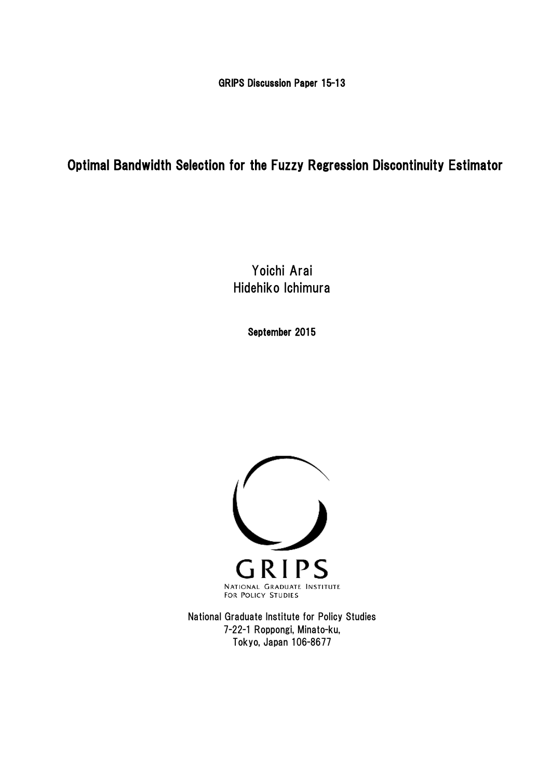GRIPS Discussion Paper 15-13

## Optimal Bandwidth Selection for the Fuzzy Regression Discontinuity Estimator

Yoichi Arai Hidehiko Ichimura

September 2015



National Graduate Institute for Policy Studies 7-22-1 Roppongi, Minato-ku, Tokyo, Japan 106-8677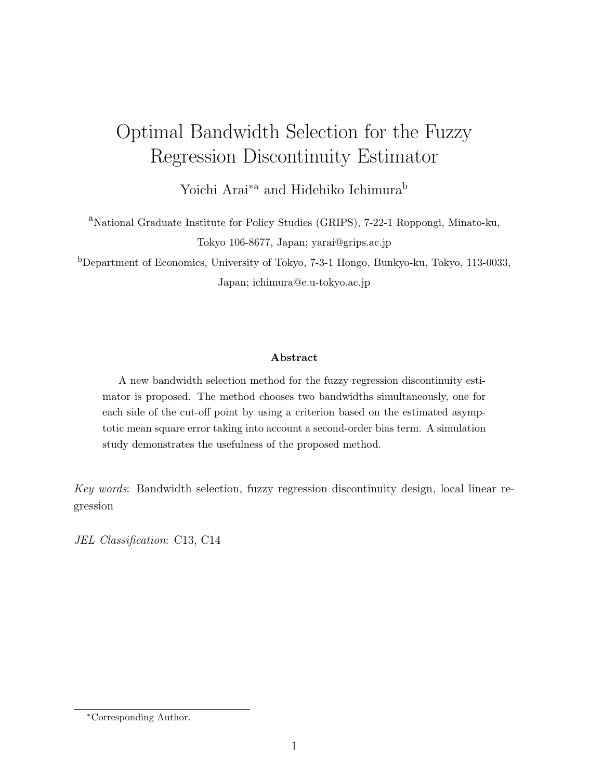# Optimal Bandwidth Selection for the Fuzzy Regression Discontinuity Estimator

Yoichi Arai<sup>∗</sup><sup>a</sup> and Hidehiko Ichimura<sup>b</sup>

<sup>a</sup>National Graduate Institute for Policy Studies (GRIPS), 7-22-1 Roppongi, Minato-ku, Tokyo 106-8677, Japan; yarai@grips.ac.jp

<sup>b</sup>Department of Economics, University of Tokyo, 7-3-1 Hongo, Bunkyo-ku, Tokyo, 113-0033, Japan; ichimura@e.u-tokyo.ac.jp

#### Abstract

A new bandwidth selection method for the fuzzy regression discontinuity estimator is proposed. The method chooses two bandwidths simultaneously, one for each side of the cut-off point by using a criterion based on the estimated asymptotic mean square error taking into account a second-order bias term. A simulation study demonstrates the usefulness of the proposed method.

Key words: Bandwidth selection, fuzzy regression discontinuity design, local linear regression

JEL Classification: C13, C14

<sup>∗</sup>Corresponding Author.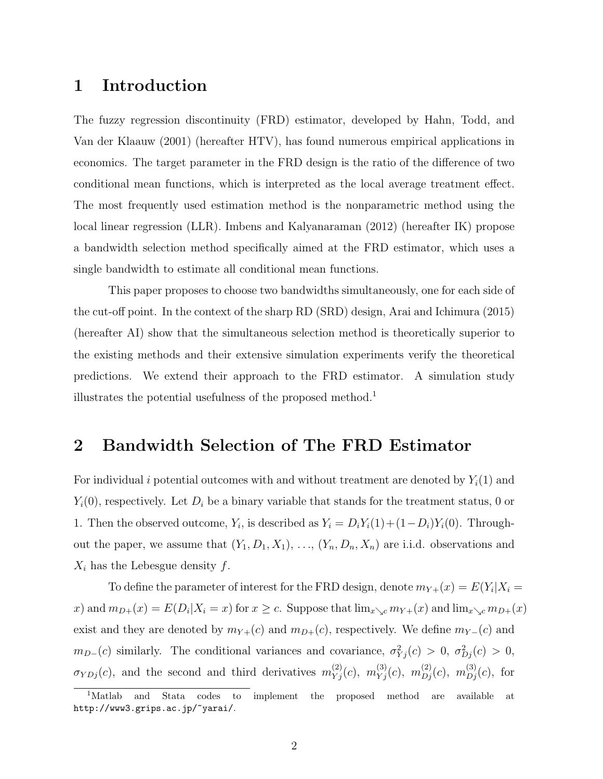### 1 Introduction

The fuzzy regression discontinuity (FRD) estimator, developed by Hahn, Todd, and Van der Klaauw (2001) (hereafter HTV), has found numerous empirical applications in economics. The target parameter in the FRD design is the ratio of the difference of two conditional mean functions, which is interpreted as the local average treatment effect. The most frequently used estimation method is the nonparametric method using the local linear regression (LLR). Imbens and Kalyanaraman (2012) (hereafter IK) propose a bandwidth selection method specifically aimed at the FRD estimator, which uses a single bandwidth to estimate all conditional mean functions.

This paper proposes to choose two bandwidths simultaneously, one for each side of the cut-off point. In the context of the sharp RD (SRD) design, Arai and Ichimura (2015) (hereafter AI) show that the simultaneous selection method is theoretically superior to the existing methods and their extensive simulation experiments verify the theoretical predictions. We extend their approach to the FRD estimator. A simulation study illustrates the potential usefulness of the proposed method.<sup>1</sup>

### 2 Bandwidth Selection of The FRD Estimator

For individual i potential outcomes with and without treatment are denoted by  $Y_i(1)$  and  $Y_i(0)$ , respectively. Let  $D_i$  be a binary variable that stands for the treatment status, 0 or 1. Then the observed outcome,  $Y_i$ , is described as  $Y_i = D_i Y_i(1) + (1 - D_i) Y_i(0)$ . Throughout the paper, we assume that  $(Y_1, D_1, X_1), \ldots, (Y_n, D_n, X_n)$  are i.i.d. observations and  $X_i$  has the Lebesgue density f.

To define the parameter of interest for the FRD design, denote  $m_{Y+}(x) = E(Y_i | X_i =$ x) and  $m_{D+}(x) = E(D_i | X_i = x)$  for  $x \ge c$ . Suppose that  $\lim_{x \searrow c} m_{Y+}(x)$  and  $\lim_{x \searrow c} m_{D+}(x)$ exist and they are denoted by  $m_{Y+}(c)$  and  $m_{D+}(c)$ , respectively. We define  $m_{Y-}(c)$  and  $m_{D-}(c)$  similarly. The conditional variances and covariance,  $\sigma_{Y_j}^2(c) > 0$ ,  $\sigma_{D_j}^2(c) > 0$ ,  $\sigma_{YDj}(c)$ , and the second and third derivatives  $m_{Yj}^{(2)}(c)$ ,  $m_{Yj}^{(3)}(c)$ ,  $m_{Dj}^{(2)}(c)$ ,  $m_{Dj}^{(3)}(c)$ , for

<sup>1</sup>Matlab and Stata codes to implement the proposed method are available at http://www3.grips.ac.jp/~yarai/.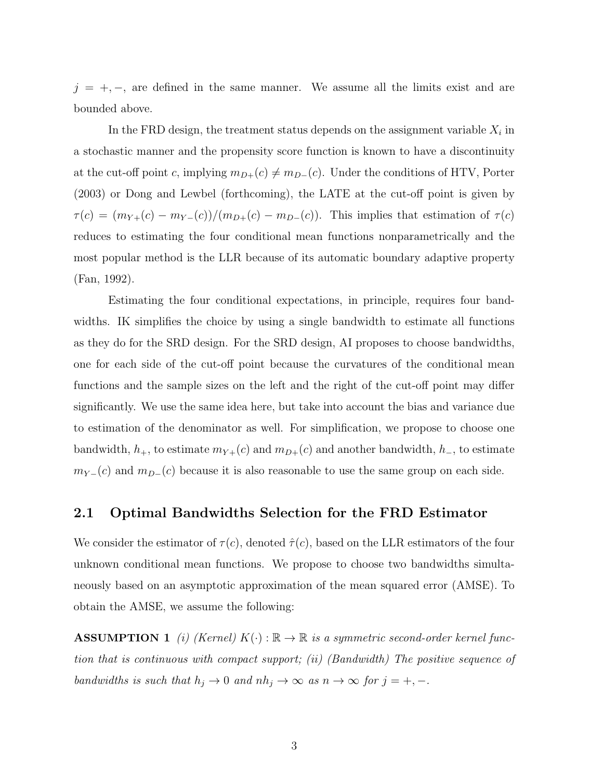$j = +, -$ , are defined in the same manner. We assume all the limits exist and are bounded above.

In the FRD design, the treatment status depends on the assignment variable  $X_i$  in a stochastic manner and the propensity score function is known to have a discontinuity at the cut-off point c, implying  $m_{D+}(c) \neq m_{D-}(c)$ . Under the conditions of HTV, Porter (2003) or Dong and Lewbel (forthcoming), the LATE at the cut-off point is given by  $\tau(c) = (m_{Y+}(c) - m_{Y-}(c))/(m_{D+}(c) - m_{D-}(c)).$  This implies that estimation of  $\tau(c)$ reduces to estimating the four conditional mean functions nonparametrically and the most popular method is the LLR because of its automatic boundary adaptive property (Fan, 1992).

Estimating the four conditional expectations, in principle, requires four bandwidths. IK simplifies the choice by using a single bandwidth to estimate all functions as they do for the SRD design. For the SRD design, AI proposes to choose bandwidths, one for each side of the cut-off point because the curvatures of the conditional mean functions and the sample sizes on the left and the right of the cut-off point may differ significantly. We use the same idea here, but take into account the bias and variance due to estimation of the denominator as well. For simplification, we propose to choose one bandwidth,  $h_+$ , to estimate  $m_{Y+}(c)$  and  $m_{D+}(c)$  and another bandwidth,  $h_-$ , to estimate  $m_{Y-}(c)$  and  $m_{D-}(c)$  because it is also reasonable to use the same group on each side.

#### 2.1 Optimal Bandwidths Selection for the FRD Estimator

We consider the estimator of  $\tau(c)$ , denoted  $\hat{\tau}(c)$ , based on the LLR estimators of the four unknown conditional mean functions. We propose to choose two bandwidths simultaneously based on an asymptotic approximation of the mean squared error (AMSE). To obtain the AMSE, we assume the following:

**ASSUMPTION 1** (i) (Kernel)  $K(\cdot): \mathbb{R} \to \mathbb{R}$  is a symmetric second-order kernel function that is continuous with compact support; (ii) (Bandwidth) The positive sequence of bandwidths is such that  $h_j \to 0$  and  $nh_j \to \infty$  as  $n \to \infty$  for  $j = +, -$ .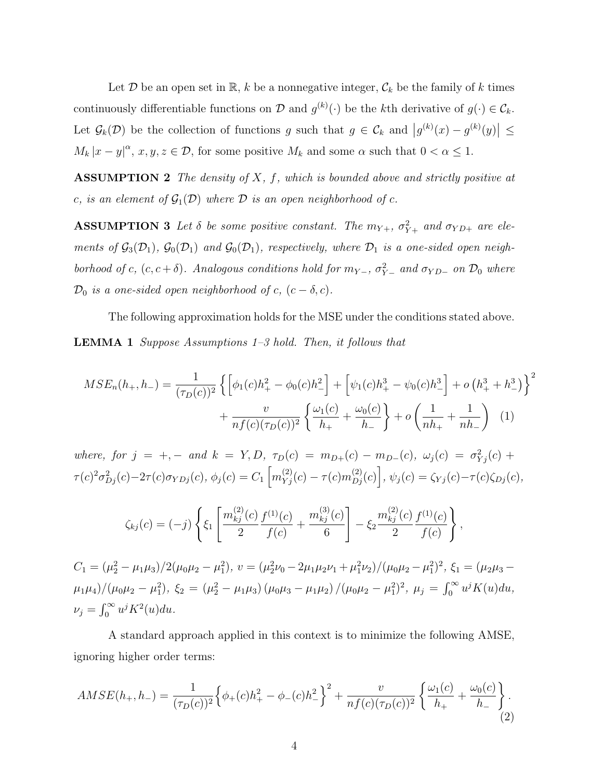Let  $D$  be an open set in  $\mathbb{R}$ , k be a nonnegative integer,  $\mathcal{C}_k$  be the family of k times continuously differentiable functions on D and  $g^{(k)}(\cdot)$  be the kth derivative of  $g(\cdot) \in C_k$ . Let  $\mathcal{G}_k(\mathcal{D})$  be the collection of functions g such that  $g \in \mathcal{C}_k$  and  $|g^{(k)}(x) - g^{(k)}(y)| \leq$  $M_k |x - y|^{\alpha}, x, y, z \in \mathcal{D}$ , for some positive  $M_k$  and some  $\alpha$  such that  $0 < \alpha \leq 1$ .

ASSUMPTION 2 The density of  $X$ ,  $f$ , which is bounded above and strictly positive at c, is an element of  $\mathcal{G}_1(\mathcal{D})$  where  $\mathcal D$  is an open neighborhood of c.

**ASSUMPTION 3** Let  $\delta$  be some positive constant. The  $m_{Y+}$ ,  $\sigma_{Y+}^2$  and  $\sigma_{YD+}$  are elements of  $\mathcal{G}_3(\mathcal{D}_1)$ ,  $\mathcal{G}_0(\mathcal{D}_1)$  and  $\mathcal{G}_0(\mathcal{D}_1)$ , respectively, where  $\mathcal{D}_1$  is a one-sided open neighborhood of c,  $(c, c + \delta)$ . Analogous conditions hold for  $m_{Y-}$ ,  $\sigma_{Y-}^2$  and  $\sigma_{YD-}$  on  $\mathcal{D}_0$  where  $\mathcal{D}_0$  is a one-sided open neighborhood of c,  $(c - \delta, c)$ .

The following approximation holds for the MSE under the conditions stated above. LEMMA 1 Suppose Assumptions 1–3 hold. Then, it follows that

$$
MSE_n(h_+, h_-) = \frac{1}{(\tau_D(c))^2} \left\{ \left[ \phi_1(c)h_+^2 - \phi_0(c)h_-^2 \right] + \left[ \psi_1(c)h_+^3 - \psi_0(c)h_-^3 \right] + o\left(h_+^3 + h_-^3\right) \right\}^2 + \frac{v}{nf(c)(\tau_D(c))^2} \left\{ \frac{\omega_1(c)}{h_+} + \frac{\omega_0(c)}{h_-} \right\} + o\left(\frac{1}{nh_+} + \frac{1}{nh_-}\right) \tag{1}
$$

where, for  $j = +,-$  and  $k = Y, D, \tau_D(c) = m_{D+}(c) - m_{D-}(c), \omega_j(c) = \sigma_{Yj}^2(c) +$  $\tau(c)^2\sigma_{Dj}^2(c) - 2\tau(c)\sigma_{YDj}(c), \, \phi_j(c) = C_1\left[m_{Yj}^{(2)}(c) - \tau(c)m_{Dj}^{(2)}(c)\right], \, \psi_j(c) = \zeta_{Yj}(c) - \tau(c)\zeta_{Dj}(c),$ 

$$
\zeta_{kj}(c) = (-j) \left\{ \xi_1 \left[ \frac{m_{kj}^{(2)}(c)}{2} \frac{f^{(1)}(c)}{f(c)} + \frac{m_{kj}^{(3)}(c)}{6} \right] - \xi_2 \frac{m_{kj}^{(2)}(c)}{2} \frac{f^{(1)}(c)}{f(c)} \right\},\,
$$

 $C_1 = (\mu_2^2 - \mu_1 \mu_3)/2(\mu_0 \mu_2 - \mu_1^2), v = (\mu_2^2 \nu_0 - 2\mu_1 \mu_2 \nu_1 + \mu_1^2 \nu_2)/(\mu_0 \mu_2 - \mu_1^2)^2, \xi_1 = (\mu_2 \mu_3 - \mu_1^2 \mu_2)$  $(\mu_1\mu_4)/(\mu_0\mu_2-\mu_1^2), \xi_2=(\mu_2^2-\mu_1\mu_3)(\mu_0\mu_3-\mu_1\mu_2)/(\mu_0\mu_2-\mu_1^2)^2, \mu_j=\int_0^\infty u^jK(u)du,$  $\nu_j = \int_0^\infty u^j K^2(u) du.$ 

A standard approach applied in this context is to minimize the following AMSE, ignoring higher order terms:

$$
AMSE(h_+, h_-) = \frac{1}{(\tau_D(c))^2} \Big\{ \phi_+(c)h_+^2 - \phi_-(c)h_-^2 \Big\}^2 + \frac{v}{nf(c)(\tau_D(c))^2} \left\{ \frac{\omega_1(c)}{h_+} + \frac{\omega_0(c)}{h_-} \right\}.
$$
\n(2)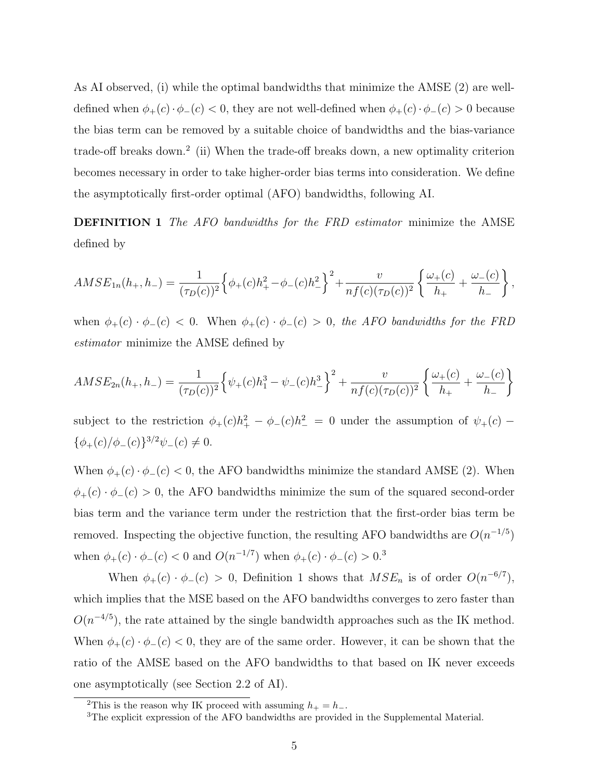As AI observed, (i) while the optimal bandwidths that minimize the AMSE (2) are welldefined when  $\phi_+(c) \cdot \phi_-(c) < 0$ , they are not well-defined when  $\phi_+(c) \cdot \phi_-(c) > 0$  because the bias term can be removed by a suitable choice of bandwidths and the bias-variance trade-off breaks down.<sup>2</sup> (ii) When the trade-off breaks down, a new optimality criterion becomes necessary in order to take higher-order bias terms into consideration. We define the asymptotically first-order optimal (AFO) bandwidths, following AI.

DEFINITION 1 The AFO bandwidths for the FRD estimator minimize the AMSE defined by

$$
AMSE_{1n}(h_+,h_-) = \frac{1}{(\tau_D(c))^2} \Big\{ \phi_+(c)h_+^2 - \phi_-(c)h_-^2 \Big\}^2 + \frac{v}{nf(c)(\tau_D(c))^2} \left\{ \frac{\omega_+(c)}{h_+} + \frac{\omega_-(c)}{h_-} \right\},\,
$$

when  $\phi_{+}(c) \cdot \phi_{-}(c)$  < 0. When  $\phi_{+}(c) \cdot \phi_{-}(c) > 0$ , the AFO bandwidths for the FRD estimator minimize the AMSE defined by

$$
AMSE_{2n}(h_+,h_-) = \frac{1}{(\tau_D(c))^2} \left\{ \psi_+(c)h_1^3 - \psi_-(c)h_-^3 \right\}^2 + \frac{v}{nf(c)(\tau_D(c))^2} \left\{ \frac{\omega_+(c)}{h_+} + \frac{\omega_-(c)}{h_-} \right\}
$$

subject to the restriction  $\phi_+(c)h_+^2 - \phi_-(c)h_-^2 = 0$  under the assumption of  $\psi_+(c)$  $\{\phi_+(c)/\phi_-(c)\}^{3/2}\psi_-(c) \neq 0.$ 

When  $\phi_{+}(c) \cdot \phi_{-}(c) < 0$ , the AFO bandwidths minimize the standard AMSE (2). When  $\phi_{+}(c) \cdot \phi_{-}(c) > 0$ , the AFO bandwidths minimize the sum of the squared second-order bias term and the variance term under the restriction that the first-order bias term be removed. Inspecting the objective function, the resulting AFO bandwidths are  $O(n^{-1/5})$ when  $\phi_{+}(c) \cdot \phi_{-}(c) < 0$  and  $O(n^{-1/7})$  when  $\phi_{+}(c) \cdot \phi_{-}(c) > 0$ <sup>3</sup>

When  $\phi_{+}(c) \cdot \phi_{-}(c) > 0$ , Definition 1 shows that  $MSE_n$  is of order  $O(n^{-6/7})$ , which implies that the MSE based on the AFO bandwidths converges to zero faster than  $O(n^{-4/5})$ , the rate attained by the single bandwidth approaches such as the IK method. When  $\phi_{+}(c) \cdot \phi_{-}(c) < 0$ , they are of the same order. However, it can be shown that the ratio of the AMSE based on the AFO bandwidths to that based on IK never exceeds one asymptotically (see Section 2.2 of AI).

<sup>&</sup>lt;sup>2</sup>This is the reason why IK proceed with assuming  $h_+ = h_-.$ 

<sup>3</sup>The explicit expression of the AFO bandwidths are provided in the Supplemental Material.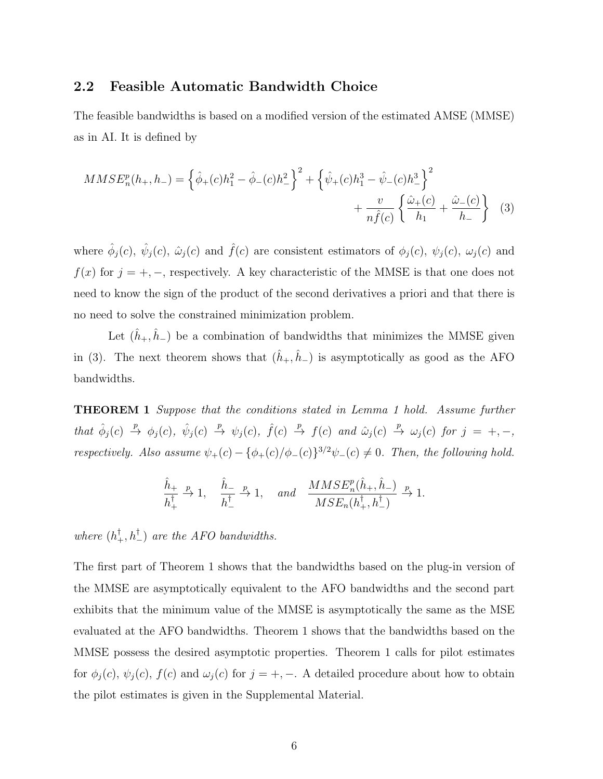#### 2.2 Feasible Automatic Bandwidth Choice

The feasible bandwidths is based on a modified version of the estimated AMSE (MMSE) as in AI. It is defined by

$$
MMSE_n^p(h_+, h_-) = \left\{\hat{\phi}_+(c)h_1^2 - \hat{\phi}_-(c)h_-^2\right\}^2 + \left\{\hat{\psi}_+(c)h_1^3 - \hat{\psi}_-(c)h_-^3\right\}^2 + \frac{v}{n\hat{f}(c)}\left\{\frac{\hat{\omega}_+(c)}{h_1} + \frac{\hat{\omega}_-(c)}{h_-}\right\} \tag{3}
$$

where  $\hat{\phi}_j(c)$ ,  $\hat{\psi}_j(c)$ ,  $\hat{\omega}_j(c)$  and  $\hat{f}(c)$  are consistent estimators of  $\phi_j(c)$ ,  $\psi_j(c)$ ,  $\omega_j(c)$  and  $f(x)$  for  $j = +, -$ , respectively. A key characteristic of the MMSE is that one does not need to know the sign of the product of the second derivatives a priori and that there is no need to solve the constrained minimization problem.

Let  $(\hat{h}_+,\hat{h}_-)$  be a combination of bandwidths that minimizes the MMSE given in (3). The next theorem shows that  $(\hat{h}_+,\hat{h}_-)$  is asymptotically as good as the AFO bandwidths.

**THEOREM 1** Suppose that the conditions stated in Lemma 1 hold. Assume further that  $\hat{\phi}_j(c) \stackrel{p}{\rightarrow} \phi_j(c)$ ,  $\hat{\psi}_j(c) \stackrel{p}{\rightarrow} \psi_j(c)$ ,  $\hat{f}(c) \stackrel{p}{\rightarrow} f(c)$  and  $\hat{\omega}_j(c) \stackrel{p}{\rightarrow} \omega_j(c)$  for  $j = +, -,$ respectively. Also assume  $\psi_{+}(c) - {\phi_{+}(c)/\phi_{-}(c)}^{3/2}\psi_{-}(c) \neq 0$ . Then, the following hold.

$$
\frac{\hat{h}_{+}}{h_{+}^{\dagger}} \xrightarrow{p} 1, \quad \frac{\hat{h}_{-}}{h_{-}^{\dagger}} \xrightarrow{p} 1, \quad and \quad \frac{MMSE_{n}^{p}(\hat{h}_{+}, \hat{h}_{-})}{MSE_{n}(h_{+}^{\dagger}, h_{-}^{\dagger})} \xrightarrow{p} 1.
$$

where  $(h_+^{\dagger}, h_-^{\dagger})$  are the AFO bandwidths.

The first part of Theorem 1 shows that the bandwidths based on the plug-in version of the MMSE are asymptotically equivalent to the AFO bandwidths and the second part exhibits that the minimum value of the MMSE is asymptotically the same as the MSE evaluated at the AFO bandwidths. Theorem 1 shows that the bandwidths based on the MMSE possess the desired asymptotic properties. Theorem 1 calls for pilot estimates for  $\phi_j(c)$ ,  $\psi_j(c)$ ,  $f(c)$  and  $\omega_j(c)$  for  $j = +, -$ . A detailed procedure about how to obtain the pilot estimates is given in the Supplemental Material.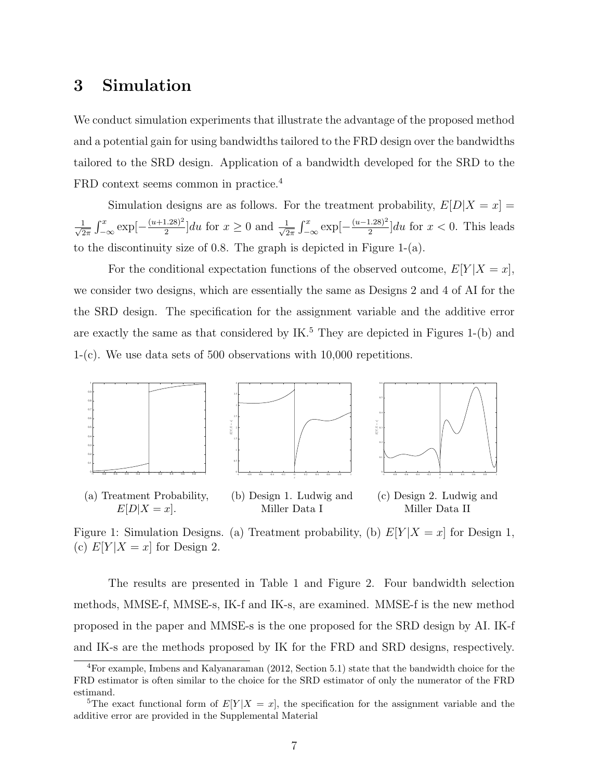### 3 Simulation

We conduct simulation experiments that illustrate the advantage of the proposed method and a potential gain for using bandwidths tailored to the FRD design over the bandwidths tailored to the SRD design. Application of a bandwidth developed for the SRD to the FRD context seems common in practice.<sup>4</sup>

Simulation designs are as follows. For the treatment probability,  $E[D|X=x] =$  $\frac{1}{\sqrt{2}}$  $\frac{1}{2\pi} \int_{-\infty}^{x} \exp\left[-\frac{(u+1.28)^2}{2}\right]$  $\frac{(1.28)^2}{2}$  du for  $x \geq 0$  and  $\frac{1}{\sqrt{2}}$  $\frac{1}{2\pi} \int_{-\infty}^{x} \exp\left[-\frac{(u-1.28)^2}{2}\right]$  $\frac{(1.28)^2}{2}$  du for  $x < 0$ . This leads to the discontinuity size of 0.8. The graph is depicted in Figure 1-(a).

For the conditional expectation functions of the observed outcome,  $E[Y|X=x]$ , we consider two designs, which are essentially the same as Designs 2 and 4 of AI for the the SRD design. The specification for the assignment variable and the additive error are exactly the same as that considered by  $IK^5$ . They are depicted in Figures 1-(b) and 1-(c). We use data sets of 500 observations with 10,000 repetitions.



Figure 1: Simulation Designs. (a) Treatment probability, (b)  $E[Y|X=x]$  for Design 1, (c)  $E[Y|X=x]$  for Design 2.

The results are presented in Table 1 and Figure 2. Four bandwidth selection methods, MMSE-f, MMSE-s, IK-f and IK-s, are examined. MMSE-f is the new method proposed in the paper and MMSE-s is the one proposed for the SRD design by AI. IK-f and IK-s are the methods proposed by IK for the FRD and SRD designs, respectively.

<sup>4</sup>For example, Imbens and Kalyanaraman (2012, Section 5.1) state that the bandwidth choice for the FRD estimator is often similar to the choice for the SRD estimator of only the numerator of the FRD estimand.

<sup>&</sup>lt;sup>5</sup>The exact functional form of  $E[Y|X=x]$ , the specification for the assignment variable and the additive error are provided in the Supplemental Material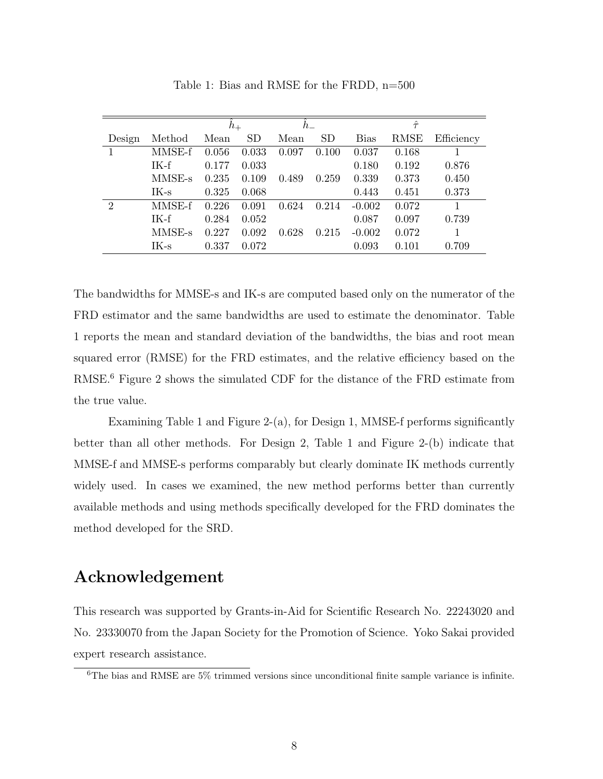|                |        | $h_{+}$ |           | $h_{-}$ |       | $\hat{\tau}$ |             |            |
|----------------|--------|---------|-----------|---------|-------|--------------|-------------|------------|
| Design         | Method | Mean    | <b>SD</b> | Mean    | SD    | <b>Bias</b>  | <b>RMSE</b> | Efficiency |
|                | MMSE-f | 0.056   | 0.033     | 0.097   | 0.100 | 0.037        | 0.168       |            |
|                | $IK-f$ | 0.177   | 0.033     |         |       | 0.180        | 0.192       | 0.876      |
|                | MMSE-s | 0.235   | 0.109     | 0.489   | 0.259 | 0.339        | 0.373       | 0.450      |
|                | $IK-s$ | 0.325   | 0.068     |         |       | 0.443        | 0.451       | 0.373      |
| $\overline{2}$ | MMSE-f | 0.226   | 0.091     | 0.624   | 0.214 | $-0.002$     | 0.072       |            |
|                | $IK-f$ | 0.284   | 0.052     |         |       | 0.087        | 0.097       | 0.739      |
|                | MMSE-s | 0.227   | 0.092     | 0.628   | 0.215 | $-0.002$     | 0.072       |            |
|                | $IK-s$ | 0.337   | 0.072     |         |       | 0.093        | 0.101       | 0.709      |

Table 1: Bias and RMSE for the FRDD, n=500

The bandwidths for MMSE-s and IK-s are computed based only on the numerator of the FRD estimator and the same bandwidths are used to estimate the denominator. Table 1 reports the mean and standard deviation of the bandwidths, the bias and root mean squared error (RMSE) for the FRD estimates, and the relative efficiency based on the RMSE.<sup>6</sup> Figure 2 shows the simulated CDF for the distance of the FRD estimate from the true value.

Examining Table 1 and Figure 2-(a), for Design 1, MMSE-f performs significantly better than all other methods. For Design 2, Table 1 and Figure 2-(b) indicate that MMSE-f and MMSE-s performs comparably but clearly dominate IK methods currently widely used. In cases we examined, the new method performs better than currently available methods and using methods specifically developed for the FRD dominates the method developed for the SRD.

### Acknowledgement

This research was supported by Grants-in-Aid for Scientific Research No. 22243020 and No. 23330070 from the Japan Society for the Promotion of Science. Yoko Sakai provided expert research assistance.

 ${}^{6}$ The bias and RMSE are 5% trimmed versions since unconditional finite sample variance is infinite.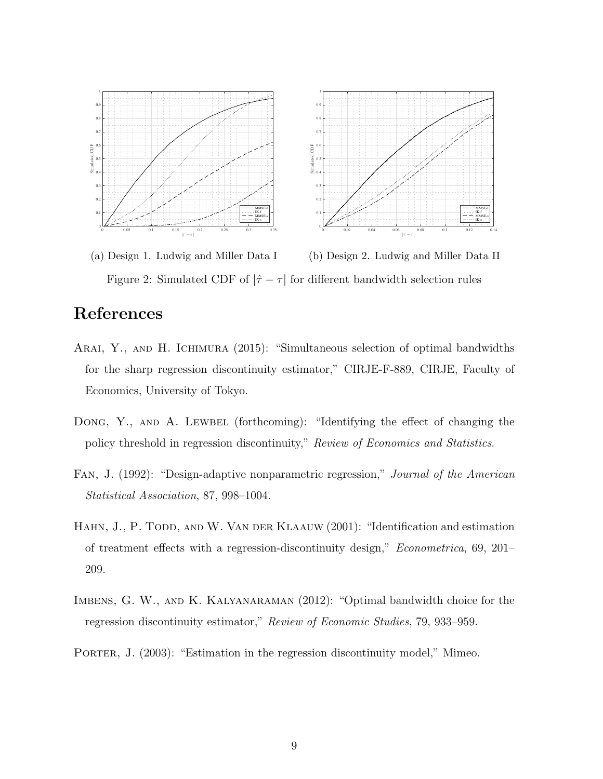

(a) Design 1. Ludwig and Miller Data I (b) Design 2. Ludwig and Miller Data II Figure 2: Simulated CDF of  $|\hat{\tau} - \tau|$  for different bandwidth selection rules

## References

- Arai, Y., and H. Ichimura (2015): "Simultaneous selection of optimal bandwidths for the sharp regression discontinuity estimator," CIRJE-F-889, CIRJE, Faculty of Economics, University of Tokyo.
- DONG, Y., AND A. LEWBEL (forthcoming): "Identifying the effect of changing the policy threshold in regression discontinuity," Review of Economics and Statistics.
- Fan, J. (1992): "Design-adaptive nonparametric regression," Journal of the American Statistical Association, 87, 998–1004.
- HAHN, J., P. TODD, AND W. VAN DER KLAAUW (2001): "Identification and estimation of treatment effects with a regression-discontinuity design," Econometrica, 69, 201– 209.
- IMBENS, G. W., AND K. KALYANARAMAN (2012): "Optimal bandwidth choice for the regression discontinuity estimator," Review of Economic Studies, 79, 933–959.
- Porter, J. (2003): "Estimation in the regression discontinuity model," Mimeo.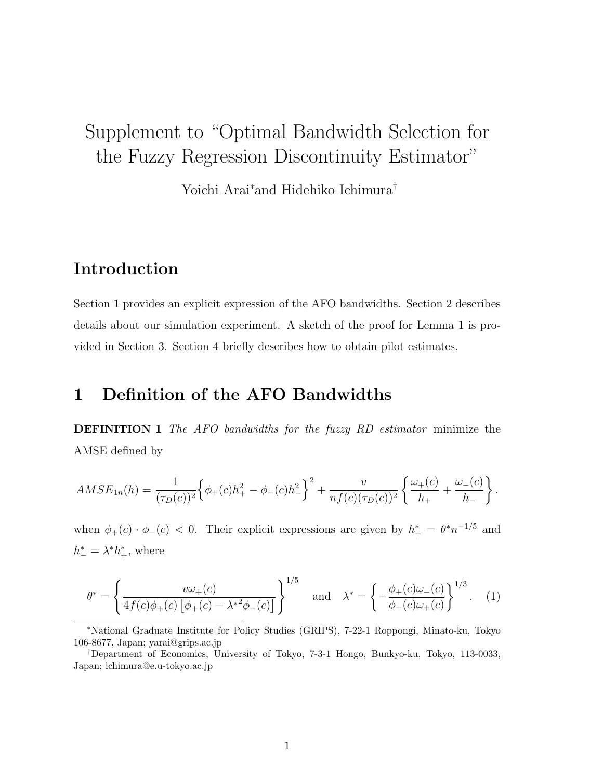# Supplement to "Optimal Bandwidth Selection for the Fuzzy Regression Discontinuity Estimator"

Yoichi Arai<sup>∗</sup>and Hidehiko Ichimura†

### Introduction

Section 1 provides an explicit expression of the AFO bandwidths. Section 2 describes details about our simulation experiment. A sketch of the proof for Lemma 1 is provided in Section 3. Section 4 briefly describes how to obtain pilot estimates.

### 1 Definition of the AFO Bandwidths

DEFINITION 1 The AFO bandwidths for the fuzzy RD estimator minimize the AMSE defined by

$$
AMSE_{1n}(h) = \frac{1}{(\tau_D(c))^2} \Big\{ \phi_+(c)h_+^2 - \phi_-(c)h_-^2 \Big\}^2 + \frac{v}{nf(c)(\tau_D(c))^2} \left\{ \frac{\omega_+(c)}{h_+} + \frac{\omega_-(c)}{h_-} \right\}.
$$

when  $\phi_{+}(c) \cdot \phi_{-}(c) < 0$ . Their explicit expressions are given by  $h_{+}^{*} = \theta^{*} n^{-1/5}$  and  $h^*_- = \lambda^* h^*_+,$  where

$$
\theta^* = \left\{ \frac{v\omega_+(c)}{4f(c)\phi_+(c)\left[\phi_+(c) - \lambda^{*2}\phi_-(c)\right]} \right\}^{1/5} \quad \text{and} \quad \lambda^* = \left\{ -\frac{\phi_+(c)\omega_-(c)}{\phi_-(c)\omega_+(c)} \right\}^{1/3}.
$$
 (1)

<sup>∗</sup>National Graduate Institute for Policy Studies (GRIPS), 7-22-1 Roppongi, Minato-ku, Tokyo 106-8677, Japan; yarai@grips.ac.jp

<sup>†</sup>Department of Economics, University of Tokyo, 7-3-1 Hongo, Bunkyo-ku, Tokyo, 113-0033, Japan; ichimura@e.u-tokyo.ac.jp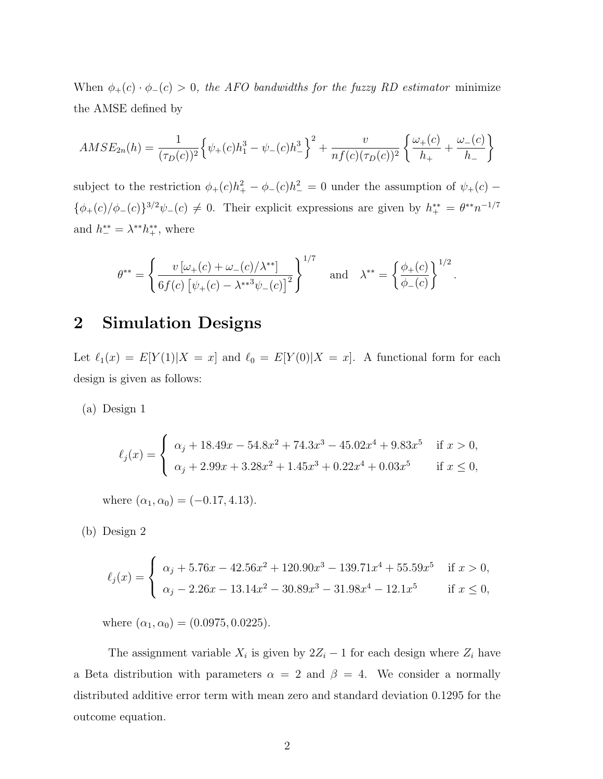When  $\phi_{+}(c) \cdot \phi_{-}(c) > 0$ , the AFO bandwidths for the fuzzy RD estimator minimize the AMSE defined by

$$
AMSE_{2n}(h) = \frac{1}{(\tau_D(c))^2} \left\{ \psi_+(c)h_1^3 - \psi_-(c)h_-^3 \right\}^2 + \frac{v}{nf(c)(\tau_D(c))^2} \left\{ \frac{\omega_+(c)}{h_+} + \frac{\omega_-(c)}{h_-} \right\}
$$

subject to the restriction  $\phi_{+}(c)h_{+}^{2} - \phi_{-}(c)h_{-}^{2} = 0$  under the assumption of  $\psi_{+}(c)$  –  $\{\phi_+(c)/\phi_-(c)\}^{3/2}\psi_-(c) \neq 0$ . Their explicit expressions are given by  $h_{+}^{**} = \theta^{**}n^{-1/7}$ and  $h_{-}^{**} = \lambda^{**} h_{+}^{**}$ , where

$$
\theta^{**} = \left\{ \frac{v \left[ \omega_+(c) + \omega_-(c) / \lambda^{**} \right]}{6f(c) \left[ \psi_+(c) - \lambda^{**} \psi_-(c) \right]^2} \right\}^{1/7} \text{ and } \lambda^{**} = \left\{ \frac{\phi_+(c)}{\phi_-(c)} \right\}^{1/2}
$$

.

### 2 Simulation Designs

Let  $\ell_1(x) = E[Y(1)|X = x]$  and  $\ell_0 = E[Y(0)|X = x]$ . A functional form for each design is given as follows:

(a) Design 1

$$
\ell_j(x) = \begin{cases} \alpha_j + 18.49x - 54.8x^2 + 74.3x^3 - 45.02x^4 + 9.83x^5 & \text{if } x > 0, \\ \alpha_j + 2.99x + 3.28x^2 + 1.45x^3 + 0.22x^4 + 0.03x^5 & \text{if } x \le 0, \end{cases}
$$

where  $(\alpha_1, \alpha_0) = (-0.17, 4.13)$ .

(b) Design 2

$$
\ell_j(x) = \begin{cases} \alpha_j + 5.76x - 42.56x^2 + 120.90x^3 - 139.71x^4 + 55.59x^5 & \text{if } x > 0, \\ \alpha_j - 2.26x - 13.14x^2 - 30.89x^3 - 31.98x^4 - 12.1x^5 & \text{if } x \le 0, \end{cases}
$$

where  $(\alpha_1, \alpha_0) = (0.0975, 0.0225)$ .

The assignment variable  $X_i$  is given by  $2Z_i - 1$  for each design where  $Z_i$  have a Beta distribution with parameters  $\alpha = 2$  and  $\beta = 4$ . We consider a normally distributed additive error term with mean zero and standard deviation 0.1295 for the outcome equation.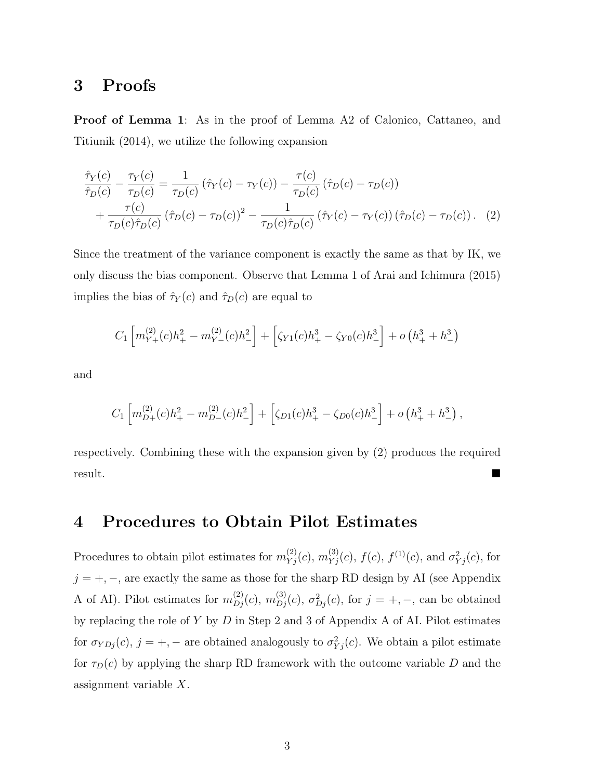### 3 Proofs

Proof of Lemma 1: As in the proof of Lemma A2 of Calonico, Cattaneo, and Titiunik (2014), we utilize the following expansion

$$
\frac{\hat{\tau}_Y(c)}{\hat{\tau}_D(c)} - \frac{\tau_Y(c)}{\tau_D(c)} = \frac{1}{\tau_D(c)} \left( \hat{\tau}_Y(c) - \tau_Y(c) \right) - \frac{\tau(c)}{\tau_D(c)} \left( \hat{\tau}_D(c) - \tau_D(c) \right)
$$
\n
$$
+ \frac{\tau(c)}{\tau_D(c)\hat{\tau}_D(c)} \left( \hat{\tau}_D(c) - \tau_D(c) \right)^2 - \frac{1}{\tau_D(c)\hat{\tau}_D(c)} \left( \hat{\tau}_Y(c) - \tau_Y(c) \right) \left( \hat{\tau}_D(c) - \tau_D(c) \right). \tag{2}
$$

Since the treatment of the variance component is exactly the same as that by IK, we only discuss the bias component. Observe that Lemma 1 of Arai and Ichimura (2015) implies the bias of  $\hat{\tau}_Y(c)$  and  $\hat{\tau}_D(c)$  are equal to

$$
C_1 \left[ m_{Y+}^{(2)}(c)h_+^2 - m_{Y-}^{(2)}(c)h_-^2 \right] + \left[ \zeta_{Y1}(c)h_+^3 - \zeta_{Y0}(c)h_-^3 \right] + o\left(h_+^3 + h_-^3\right)
$$

and

$$
C_1 \left[ m_{D+}^{(2)}(c) h_+^2 - m_{D-}^{(2)}(c) h_-^2 \right] + \left[ \zeta_{D1}(c) h_+^3 - \zeta_{D0}(c) h_-^3 \right] + o\left( h_+^3 + h_-^3 \right),
$$

respectively. Combining these with the expansion given by (2) produces the required result.

### 4 Procedures to Obtain Pilot Estimates

Procedures to obtain pilot estimates for  $m_{Yj}^{(2)}(c)$ ,  $m_{Yj}^{(3)}(c)$ ,  $f(c)$ ,  $f^{(1)}(c)$ , and  $\sigma_{Yj}^2(c)$ , for  $j = +, -$ , are exactly the same as those for the sharp RD design by AI (see Appendix A of AI). Pilot estimates for  $m_{D_j}^{(2)}(c)$ ,  $m_{D_j}^{(3)}(c)$ ,  $\sigma_{D_j}^2(c)$ , for  $j = +, -$ , can be obtained by replacing the role of Y by D in Step 2 and 3 of Appendix A of AI. Pilot estimates for  $\sigma_{YDj}(c)$ ,  $j = +, -$  are obtained analogously to  $\sigma_{Yj}^2(c)$ . We obtain a pilot estimate for  $\tau_D(c)$  by applying the sharp RD framework with the outcome variable D and the assignment variable X.